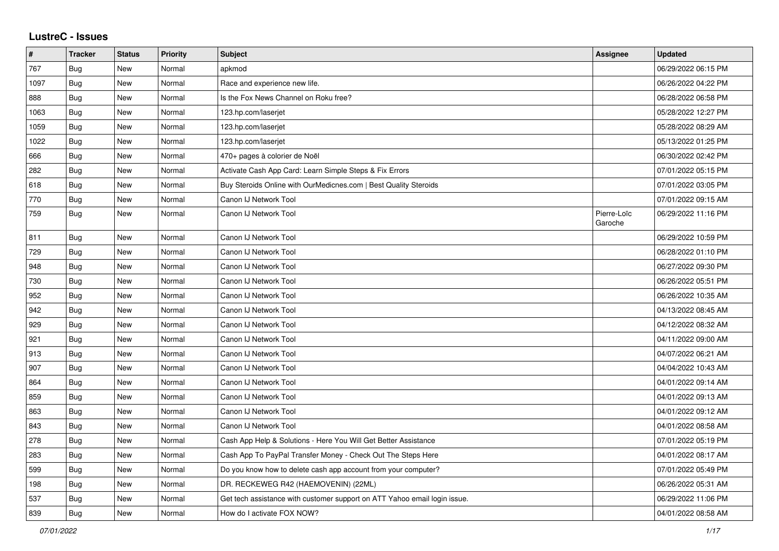| #    | <b>Tracker</b> | <b>Status</b> | Priority | <b>Subject</b>                                                            | <b>Assignee</b>        | <b>Updated</b>      |
|------|----------------|---------------|----------|---------------------------------------------------------------------------|------------------------|---------------------|
| 767  | <b>Bug</b>     | <b>New</b>    | Normal   | apkmod                                                                    |                        | 06/29/2022 06:15 PM |
| 1097 | Bug            | <b>New</b>    | Normal   | Race and experience new life.                                             |                        | 06/26/2022 04:22 PM |
| 888  | <b>Bug</b>     | New           | Normal   | Is the Fox News Channel on Roku free?                                     |                        | 06/28/2022 06:58 PM |
| 1063 | Bug            | New           | Normal   | 123.hp.com/laserjet                                                       |                        | 05/28/2022 12:27 PM |
| 1059 | Bug            | New           | Normal   | 123.hp.com/laserjet                                                       |                        | 05/28/2022 08:29 AM |
| 1022 | Bug            | <b>New</b>    | Normal   | 123.hp.com/laserjet                                                       |                        | 05/13/2022 01:25 PM |
| 666  | Bug            | <b>New</b>    | Normal   | 470+ pages à colorier de Noël                                             |                        | 06/30/2022 02:42 PM |
| 282  | <b>Bug</b>     | New           | Normal   | Activate Cash App Card: Learn Simple Steps & Fix Errors                   |                        | 07/01/2022 05:15 PM |
| 618  | <b>Bug</b>     | New           | Normal   | Buy Steroids Online with OurMedicnes.com   Best Quality Steroids          |                        | 07/01/2022 03:05 PM |
| 770  | Bug            | New           | Normal   | Canon IJ Network Tool                                                     |                        | 07/01/2022 09:15 AM |
| 759  | Bug            | New           | Normal   | Canon IJ Network Tool                                                     | Pierre-Loïc<br>Garoche | 06/29/2022 11:16 PM |
| 811  | Bug            | <b>New</b>    | Normal   | Canon IJ Network Tool                                                     |                        | 06/29/2022 10:59 PM |
| 729  | <b>Bug</b>     | <b>New</b>    | Normal   | Canon IJ Network Tool                                                     |                        | 06/28/2022 01:10 PM |
| 948  | Bug            | <b>New</b>    | Normal   | Canon IJ Network Tool                                                     |                        | 06/27/2022 09:30 PM |
| 730  | <b>Bug</b>     | <b>New</b>    | Normal   | Canon IJ Network Tool                                                     |                        | 06/26/2022 05:51 PM |
| 952  | Bug            | New           | Normal   | Canon IJ Network Tool                                                     |                        | 06/26/2022 10:35 AM |
| 942  | Bug            | New           | Normal   | Canon IJ Network Tool                                                     |                        | 04/13/2022 08:45 AM |
| 929  | Bug            | <b>New</b>    | Normal   | Canon IJ Network Tool                                                     |                        | 04/12/2022 08:32 AM |
| 921  | Bug            | <b>New</b>    | Normal   | Canon IJ Network Tool                                                     |                        | 04/11/2022 09:00 AM |
| 913  | Bug            | <b>New</b>    | Normal   | Canon IJ Network Tool                                                     |                        | 04/07/2022 06:21 AM |
| 907  | <b>Bug</b>     | New           | Normal   | Canon IJ Network Tool                                                     |                        | 04/04/2022 10:43 AM |
| 864  | Bug            | <b>New</b>    | Normal   | Canon IJ Network Tool                                                     |                        | 04/01/2022 09:14 AM |
| 859  | Bug            | New           | Normal   | Canon IJ Network Tool                                                     |                        | 04/01/2022 09:13 AM |
| 863  | Bug            | <b>New</b>    | Normal   | Canon IJ Network Tool                                                     |                        | 04/01/2022 09:12 AM |
| 843  | Bug            | New           | Normal   | Canon IJ Network Tool                                                     |                        | 04/01/2022 08:58 AM |
| 278  | Bug            | New           | Normal   | Cash App Help & Solutions - Here You Will Get Better Assistance           |                        | 07/01/2022 05:19 PM |
| 283  | Bug            | New           | Normal   | Cash App To PayPal Transfer Money - Check Out The Steps Here              |                        | 04/01/2022 08:17 AM |
| 599  | <b>Bug</b>     | New           | Normal   | Do you know how to delete cash app account from your computer?            |                        | 07/01/2022 05:49 PM |
| 198  | <b>Bug</b>     | New           | Normal   | DR. RECKEWEG R42 (HAEMOVENIN) (22ML)                                      |                        | 06/26/2022 05:31 AM |
| 537  | <b>Bug</b>     | New           | Normal   | Get tech assistance with customer support on ATT Yahoo email login issue. |                        | 06/29/2022 11:06 PM |
| 839  | Bug            | <b>New</b>    | Normal   | How do I activate FOX NOW?                                                |                        | 04/01/2022 08:58 AM |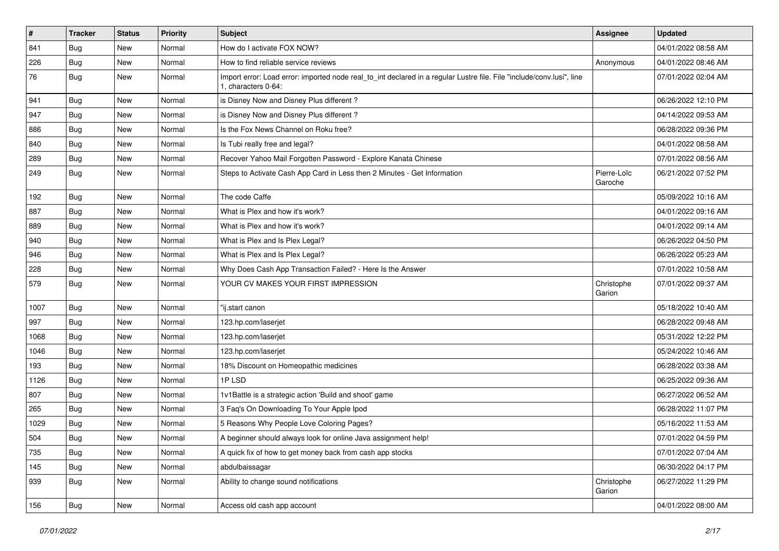| $\vert$ # | <b>Tracker</b> | <b>Status</b> | <b>Priority</b> | <b>Subject</b>                                                                                                                               | <b>Assignee</b>        | <b>Updated</b>      |
|-----------|----------------|---------------|-----------------|----------------------------------------------------------------------------------------------------------------------------------------------|------------------------|---------------------|
| 841       | <b>Bug</b>     | New           | Normal          | How do I activate FOX NOW?                                                                                                                   |                        | 04/01/2022 08:58 AM |
| 226       | Bug            | New           | Normal          | How to find reliable service reviews                                                                                                         | Anonymous              | 04/01/2022 08:46 AM |
| 76        | Bug            | New           | Normal          | Import error: Load error: imported node real_to_int declared in a regular Lustre file. File "include/conv.lusi", line<br>1, characters 0-64: |                        | 07/01/2022 02:04 AM |
| 941       | Bug            | <b>New</b>    | Normal          | is Disney Now and Disney Plus different?                                                                                                     |                        | 06/26/2022 12:10 PM |
| 947       | Bug            | New           | Normal          | is Disney Now and Disney Plus different?                                                                                                     |                        | 04/14/2022 09:53 AM |
| 886       | Bug            | New           | Normal          | Is the Fox News Channel on Roku free?                                                                                                        |                        | 06/28/2022 09:36 PM |
| 840       | Bug            | <b>New</b>    | Normal          | Is Tubi really free and legal?                                                                                                               |                        | 04/01/2022 08:58 AM |
| 289       | Bug            | New           | Normal          | Recover Yahoo Mail Forgotten Password - Explore Kanata Chinese                                                                               |                        | 07/01/2022 08:56 AM |
| 249       | Bug            | New           | Normal          | Steps to Activate Cash App Card in Less then 2 Minutes - Get Information                                                                     | Pierre-Loïc<br>Garoche | 06/21/2022 07:52 PM |
| 192       | <b>Bug</b>     | <b>New</b>    | Normal          | The code Caffe                                                                                                                               |                        | 05/09/2022 10:16 AM |
| 887       | Bug            | <b>New</b>    | Normal          | What is Plex and how it's work?                                                                                                              |                        | 04/01/2022 09:16 AM |
| 889       | Bug            | New           | Normal          | What is Plex and how it's work?                                                                                                              |                        | 04/01/2022 09:14 AM |
| 940       | Bug            | New           | Normal          | What is Plex and Is Plex Legal?                                                                                                              |                        | 06/26/2022 04:50 PM |
| 946       | Bug            | <b>New</b>    | Normal          | What is Plex and Is Plex Legal?                                                                                                              |                        | 06/26/2022 05:23 AM |
| 228       | Bug            | New           | Normal          | Why Does Cash App Transaction Failed? - Here Is the Answer                                                                                   |                        | 07/01/2022 10:58 AM |
| 579       | <b>Bug</b>     | New           | Normal          | YOUR CV MAKES YOUR FIRST IMPRESSION                                                                                                          | Christophe<br>Garion   | 07/01/2022 09:37 AM |
| 1007      | Bug            | <b>New</b>    | Normal          | "ij.start canon                                                                                                                              |                        | 05/18/2022 10:40 AM |
| 997       | Bug            | <b>New</b>    | Normal          | 123.hp.com/laserjet                                                                                                                          |                        | 06/28/2022 09:48 AM |
| 1068      | <b>Bug</b>     | New           | Normal          | 123.hp.com/laserjet                                                                                                                          |                        | 05/31/2022 12:22 PM |
| 1046      | Bug            | <b>New</b>    | Normal          | 123.hp.com/laserjet                                                                                                                          |                        | 05/24/2022 10:46 AM |
| 193       | Bug            | New           | Normal          | 18% Discount on Homeopathic medicines                                                                                                        |                        | 06/28/2022 03:38 AM |
| 1126      | Bug            | <b>New</b>    | Normal          | 1PLSD                                                                                                                                        |                        | 06/25/2022 09:36 AM |
| 807       | Bug            | <b>New</b>    | Normal          | 1v1Battle is a strategic action 'Build and shoot' game                                                                                       |                        | 06/27/2022 06:52 AM |
| 265       | <b>Bug</b>     | New           | Normal          | 3 Faq's On Downloading To Your Apple Ipod                                                                                                    |                        | 06/28/2022 11:07 PM |
| 1029      | Bug            | New           | Normal          | 5 Reasons Why People Love Coloring Pages?                                                                                                    |                        | 05/16/2022 11:53 AM |
| 504       | <b>Bug</b>     | New           | Normal          | A beginner should always look for online Java assignment help!                                                                               |                        | 07/01/2022 04:59 PM |
| 735       | Bug            | New           | Normal          | A quick fix of how to get money back from cash app stocks                                                                                    |                        | 07/01/2022 07:04 AM |
| 145       | Bug            | New           | Normal          | abdulbaissagar                                                                                                                               |                        | 06/30/2022 04:17 PM |
| 939       | Bug            | New           | Normal          | Ability to change sound notifications                                                                                                        | Christophe<br>Garion   | 06/27/2022 11:29 PM |
| 156       | Bug            | New           | Normal          | Access old cash app account                                                                                                                  |                        | 04/01/2022 08:00 AM |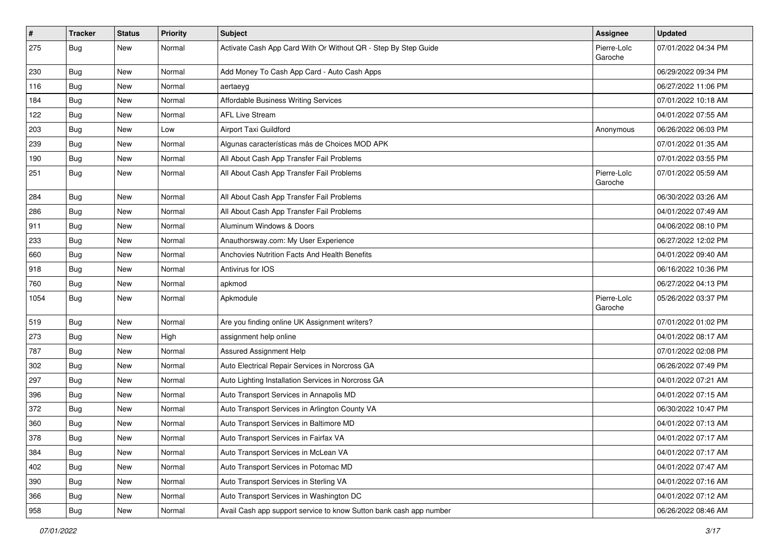| $\vert$ # | <b>Tracker</b> | <b>Status</b> | Priority | Subject                                                            | <b>Assignee</b>        | <b>Updated</b>      |
|-----------|----------------|---------------|----------|--------------------------------------------------------------------|------------------------|---------------------|
| 275       | <b>Bug</b>     | New           | Normal   | Activate Cash App Card With Or Without QR - Step By Step Guide     | Pierre-Loïc<br>Garoche | 07/01/2022 04:34 PM |
| 230       | Bug            | New           | Normal   | Add Money To Cash App Card - Auto Cash Apps                        |                        | 06/29/2022 09:34 PM |
| 116       | Bug            | New           | Normal   | aertaeyg                                                           |                        | 06/27/2022 11:06 PM |
| 184       | Bug            | <b>New</b>    | Normal   | Affordable Business Writing Services                               |                        | 07/01/2022 10:18 AM |
| 122       | Bug            | New           | Normal   | <b>AFL Live Stream</b>                                             |                        | 04/01/2022 07:55 AM |
| 203       | <b>Bug</b>     | New           | Low      | Airport Taxi Guildford                                             | Anonymous              | 06/26/2022 06:03 PM |
| 239       | <b>Bug</b>     | <b>New</b>    | Normal   | Algunas características más de Choices MOD APK                     |                        | 07/01/2022 01:35 AM |
| 190       | <b>Bug</b>     | New           | Normal   | All About Cash App Transfer Fail Problems                          |                        | 07/01/2022 03:55 PM |
| 251       | Bug            | New           | Normal   | All About Cash App Transfer Fail Problems                          | Pierre-Loïc<br>Garoche | 07/01/2022 05:59 AM |
| 284       | <b>Bug</b>     | <b>New</b>    | Normal   | All About Cash App Transfer Fail Problems                          |                        | 06/30/2022 03:26 AM |
| 286       | Bug            | <b>New</b>    | Normal   | All About Cash App Transfer Fail Problems                          |                        | 04/01/2022 07:49 AM |
| 911       | Bug            | New           | Normal   | Aluminum Windows & Doors                                           |                        | 04/06/2022 08:10 PM |
| 233       | <b>Bug</b>     | New           | Normal   | Anauthorsway.com: My User Experience                               |                        | 06/27/2022 12:02 PM |
| 660       | <b>Bug</b>     | <b>New</b>    | Normal   | Anchovies Nutrition Facts And Health Benefits                      |                        | 04/01/2022 09:40 AM |
| 918       | <b>Bug</b>     | New           | Normal   | Antivirus for IOS                                                  |                        | 06/16/2022 10:36 PM |
| 760       | Bug            | <b>New</b>    | Normal   | apkmod                                                             |                        | 06/27/2022 04:13 PM |
| 1054      | Bug            | New           | Normal   | Apkmodule                                                          | Pierre-Loïc<br>Garoche | 05/26/2022 03:37 PM |
| 519       | Bug            | New           | Normal   | Are you finding online UK Assignment writers?                      |                        | 07/01/2022 01:02 PM |
| 273       | Bug            | New           | High     | assignment help online                                             |                        | 04/01/2022 08:17 AM |
| 787       | <b>Bug</b>     | <b>New</b>    | Normal   | Assured Assignment Help                                            |                        | 07/01/2022 02:08 PM |
| 302       | Bug            | New           | Normal   | Auto Electrical Repair Services in Norcross GA                     |                        | 06/26/2022 07:49 PM |
| 297       | Bug            | <b>New</b>    | Normal   | Auto Lighting Installation Services in Norcross GA                 |                        | 04/01/2022 07:21 AM |
| 396       | <b>Bug</b>     | <b>New</b>    | Normal   | Auto Transport Services in Annapolis MD                            |                        | 04/01/2022 07:15 AM |
| 372       | <b>Bug</b>     | New           | Normal   | Auto Transport Services in Arlington County VA                     |                        | 06/30/2022 10:47 PM |
| 360       | <b>Bug</b>     | New           | Normal   | Auto Transport Services in Baltimore MD                            |                        | 04/01/2022 07:13 AM |
| 378       | Bug            | New           | Normal   | Auto Transport Services in Fairfax VA                              |                        | 04/01/2022 07:17 AM |
| 384       | Bug            | New           | Normal   | Auto Transport Services in McLean VA                               |                        | 04/01/2022 07:17 AM |
| 402       | Bug            | New           | Normal   | Auto Transport Services in Potomac MD                              |                        | 04/01/2022 07:47 AM |
| 390       | Bug            | New           | Normal   | Auto Transport Services in Sterling VA                             |                        | 04/01/2022 07:16 AM |
| 366       | Bug            | New           | Normal   | Auto Transport Services in Washington DC                           |                        | 04/01/2022 07:12 AM |
| 958       | <b>Bug</b>     | New           | Normal   | Avail Cash app support service to know Sutton bank cash app number |                        | 06/26/2022 08:46 AM |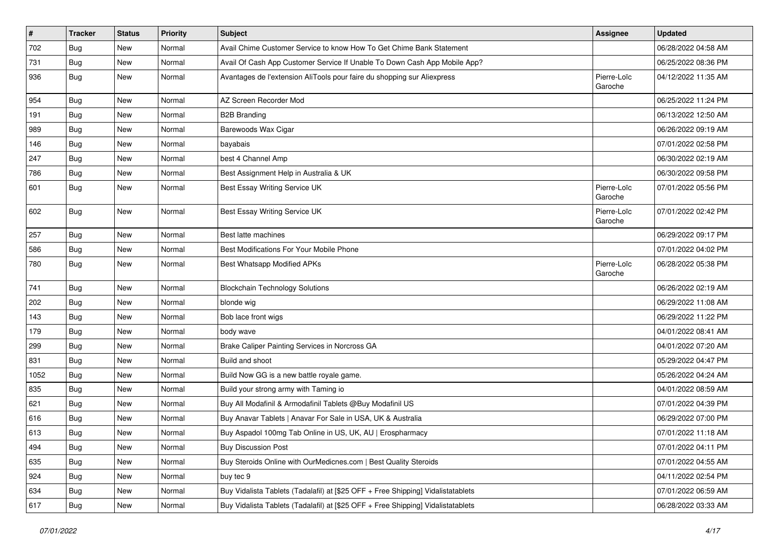| $\vert$ # | <b>Tracker</b> | <b>Status</b> | <b>Priority</b> | <b>Subject</b>                                                                   | <b>Assignee</b>        | <b>Updated</b>      |
|-----------|----------------|---------------|-----------------|----------------------------------------------------------------------------------|------------------------|---------------------|
| 702       | Bug            | New           | Normal          | Avail Chime Customer Service to know How To Get Chime Bank Statement             |                        | 06/28/2022 04:58 AM |
| 731       | Bug            | <b>New</b>    | Normal          | Avail Of Cash App Customer Service If Unable To Down Cash App Mobile App?        |                        | 06/25/2022 08:36 PM |
| 936       | Bug            | <b>New</b>    | Normal          | Avantages de l'extension AliTools pour faire du shopping sur Aliexpress          | Pierre-Loïc<br>Garoche | 04/12/2022 11:35 AM |
| 954       | Bug            | New           | Normal          | AZ Screen Recorder Mod                                                           |                        | 06/25/2022 11:24 PM |
| 191       | Bug            | New           | Normal          | <b>B2B Branding</b>                                                              |                        | 06/13/2022 12:50 AM |
| 989       | Bug            | New           | Normal          | Barewoods Wax Cigar                                                              |                        | 06/26/2022 09:19 AM |
| 146       | Bug            | <b>New</b>    | Normal          | bayabais                                                                         |                        | 07/01/2022 02:58 PM |
| 247       | <b>Bug</b>     | New           | Normal          | best 4 Channel Amp                                                               |                        | 06/30/2022 02:19 AM |
| 786       | Bug            | <b>New</b>    | Normal          | Best Assignment Help in Australia & UK                                           |                        | 06/30/2022 09:58 PM |
| 601       | Bug            | <b>New</b>    | Normal          | Best Essay Writing Service UK                                                    | Pierre-Loïc<br>Garoche | 07/01/2022 05:56 PM |
| 602       | Bug            | New           | Normal          | Best Essay Writing Service UK                                                    | Pierre-Loïc<br>Garoche | 07/01/2022 02:42 PM |
| 257       | Bug            | New           | Normal          | Best latte machines                                                              |                        | 06/29/2022 09:17 PM |
| 586       | Bug            | <b>New</b>    | Normal          | Best Modifications For Your Mobile Phone                                         |                        | 07/01/2022 04:02 PM |
| 780       | Bug            | New           | Normal          | Best Whatsapp Modified APKs                                                      | Pierre-Loïc<br>Garoche | 06/28/2022 05:38 PM |
| 741       | Bug            | <b>New</b>    | Normal          | <b>Blockchain Technology Solutions</b>                                           |                        | 06/26/2022 02:19 AM |
| 202       | Bug            | <b>New</b>    | Normal          | blonde wig                                                                       |                        | 06/29/2022 11:08 AM |
| 143       | Bug            | New           | Normal          | Bob lace front wigs                                                              |                        | 06/29/2022 11:22 PM |
| 179       | Bug            | New           | Normal          | body wave                                                                        |                        | 04/01/2022 08:41 AM |
| 299       | <b>Bug</b>     | New           | Normal          | Brake Caliper Painting Services in Norcross GA                                   |                        | 04/01/2022 07:20 AM |
| 831       | Bug            | <b>New</b>    | Normal          | Build and shoot                                                                  |                        | 05/29/2022 04:47 PM |
| 1052      | <b>Bug</b>     | New           | Normal          | Build Now GG is a new battle royale game.                                        |                        | 05/26/2022 04:24 AM |
| 835       | Bug            | New           | Normal          | Build your strong army with Taming io                                            |                        | 04/01/2022 08:59 AM |
| 621       | Bug            | <b>New</b>    | Normal          | Buy All Modafinil & Armodafinil Tablets @Buy Modafinil US                        |                        | 07/01/2022 04:39 PM |
| 616       | <b>Bug</b>     | New           | Normal          | Buy Anavar Tablets   Anavar For Sale in USA, UK & Australia                      |                        | 06/29/2022 07:00 PM |
| 613       | Bug            | <b>New</b>    | Normal          | Buy Aspadol 100mg Tab Online in US, UK, AU   Erospharmacy                        |                        | 07/01/2022 11:18 AM |
| 494       | <b>Bug</b>     | New           | Normal          | <b>Buy Discussion Post</b>                                                       |                        | 07/01/2022 04:11 PM |
| 635       | Bug            | New           | Normal          | Buy Steroids Online with OurMedicnes.com   Best Quality Steroids                 |                        | 07/01/2022 04:55 AM |
| 924       | Bug            | New           | Normal          | buy tec 9                                                                        |                        | 04/11/2022 02:54 PM |
| 634       | Bug            | New           | Normal          | Buy Vidalista Tablets (Tadalafil) at [\$25 OFF + Free Shipping] Vidalistatablets |                        | 07/01/2022 06:59 AM |
| 617       | Bug            | New           | Normal          | Buy Vidalista Tablets (Tadalafil) at [\$25 OFF + Free Shipping] Vidalistatablets |                        | 06/28/2022 03:33 AM |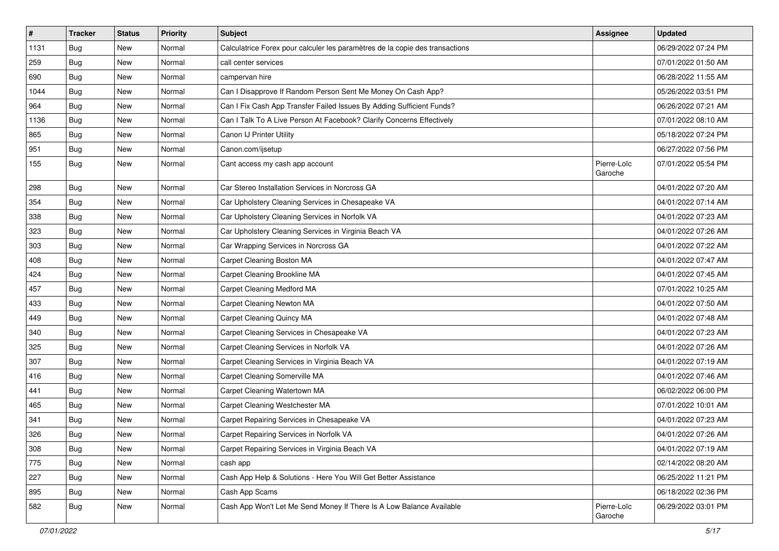| $\vert$ # | <b>Tracker</b> | <b>Status</b> | <b>Priority</b> | <b>Subject</b>                                                               | <b>Assignee</b>        | <b>Updated</b>      |
|-----------|----------------|---------------|-----------------|------------------------------------------------------------------------------|------------------------|---------------------|
| 1131      | Bug            | New           | Normal          | Calculatrice Forex pour calculer les paramètres de la copie des transactions |                        | 06/29/2022 07:24 PM |
| 259       | Bug            | <b>New</b>    | Normal          | call center services                                                         |                        | 07/01/2022 01:50 AM |
| 690       | Bug            | New           | Normal          | campervan hire                                                               |                        | 06/28/2022 11:55 AM |
| 1044      | <b>Bug</b>     | New           | Normal          | Can I Disapprove If Random Person Sent Me Money On Cash App?                 |                        | 05/26/2022 03:51 PM |
| 964       | Bug            | <b>New</b>    | Normal          | Can I Fix Cash App Transfer Failed Issues By Adding Sufficient Funds?        |                        | 06/26/2022 07:21 AM |
| 1136      | Bug            | New           | Normal          | Can I Talk To A Live Person At Facebook? Clarify Concerns Effectively        |                        | 07/01/2022 08:10 AM |
| 865       | <b>Bug</b>     | New           | Normal          | Canon IJ Printer Utility                                                     |                        | 05/18/2022 07:24 PM |
| 951       | Bug            | <b>New</b>    | Normal          | Canon.com/ijsetup                                                            |                        | 06/27/2022 07:56 PM |
| 155       | Bug            | New           | Normal          | Cant access my cash app account                                              | Pierre-Loïc<br>Garoche | 07/01/2022 05:54 PM |
| 298       | Bug            | New           | Normal          | Car Stereo Installation Services in Norcross GA                              |                        | 04/01/2022 07:20 AM |
| 354       | Bug            | New           | Normal          | Car Upholstery Cleaning Services in Chesapeake VA                            |                        | 04/01/2022 07:14 AM |
| 338       | Bug            | <b>New</b>    | Normal          | Car Upholstery Cleaning Services in Norfolk VA                               |                        | 04/01/2022 07:23 AM |
| 323       | Bug            | New           | Normal          | Car Upholstery Cleaning Services in Virginia Beach VA                        |                        | 04/01/2022 07:26 AM |
| 303       | <b>Bug</b>     | New           | Normal          | Car Wrapping Services in Norcross GA                                         |                        | 04/01/2022 07:22 AM |
| 408       | <b>Bug</b>     | <b>New</b>    | Normal          | Carpet Cleaning Boston MA                                                    |                        | 04/01/2022 07:47 AM |
| 424       | <b>Bug</b>     | New           | Normal          | Carpet Cleaning Brookline MA                                                 |                        | 04/01/2022 07:45 AM |
| 457       | Bug            | <b>New</b>    | Normal          | Carpet Cleaning Medford MA                                                   |                        | 07/01/2022 10:25 AM |
| 433       | Bug            | New           | Normal          | Carpet Cleaning Newton MA                                                    |                        | 04/01/2022 07:50 AM |
| 449       | Bug            | New           | Normal          | Carpet Cleaning Quincy MA                                                    |                        | 04/01/2022 07:48 AM |
| 340       | Bug            | <b>New</b>    | Normal          | Carpet Cleaning Services in Chesapeake VA                                    |                        | 04/01/2022 07:23 AM |
| 325       | <b>Bug</b>     | New           | Normal          | Carpet Cleaning Services in Norfolk VA                                       |                        | 04/01/2022 07:26 AM |
| 307       | <b>Bug</b>     | New           | Normal          | Carpet Cleaning Services in Virginia Beach VA                                |                        | 04/01/2022 07:19 AM |
| 416       | Bug            | New           | Normal          | Carpet Cleaning Somerville MA                                                |                        | 04/01/2022 07:46 AM |
| 441       | <b>Bug</b>     | New           | Normal          | Carpet Cleaning Watertown MA                                                 |                        | 06/02/2022 06:00 PM |
| 465       | <b>Bug</b>     | <b>New</b>    | Normal          | Carpet Cleaning Westchester MA                                               |                        | 07/01/2022 10:01 AM |
| 341       | <b>Bug</b>     | New           | Normal          | Carpet Repairing Services in Chesapeake VA                                   |                        | 04/01/2022 07:23 AM |
| 326       | Bug            | New           | Normal          | Carpet Repairing Services in Norfolk VA                                      |                        | 04/01/2022 07:26 AM |
| 308       | Bug            | New           | Normal          | Carpet Repairing Services in Virginia Beach VA                               |                        | 04/01/2022 07:19 AM |
| 775       | Bug            | New           | Normal          | cash app                                                                     |                        | 02/14/2022 08:20 AM |
| 227       | Bug            | <b>New</b>    | Normal          | Cash App Help & Solutions - Here You Will Get Better Assistance              |                        | 06/25/2022 11:21 PM |
| 895       | Bug            | New           | Normal          | Cash App Scams                                                               |                        | 06/18/2022 02:36 PM |
| 582       | Bug            | New           | Normal          | Cash App Won't Let Me Send Money If There Is A Low Balance Available         | Pierre-Loïc<br>Garoche | 06/29/2022 03:01 PM |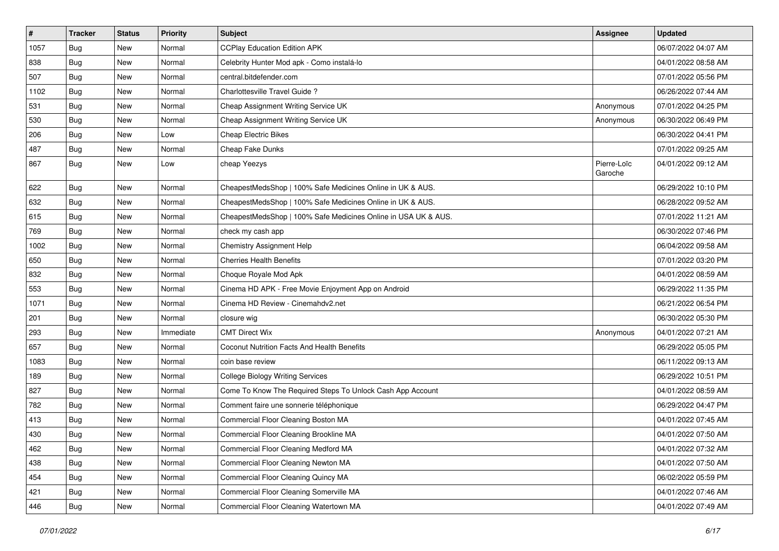| $\vert$ # | <b>Tracker</b> | <b>Status</b> | <b>Priority</b> | Subject                                                        | <b>Assignee</b>        | <b>Updated</b>      |
|-----------|----------------|---------------|-----------------|----------------------------------------------------------------|------------------------|---------------------|
| 1057      | Bug            | New           | Normal          | <b>CCPlay Education Edition APK</b>                            |                        | 06/07/2022 04:07 AM |
| 838       | Bug            | <b>New</b>    | Normal          | Celebrity Hunter Mod apk - Como instalá-lo                     |                        | 04/01/2022 08:58 AM |
| 507       | Bug            | New           | Normal          | central.bitdefender.com                                        |                        | 07/01/2022 05:56 PM |
| 1102      | <b>Bug</b>     | <b>New</b>    | Normal          | Charlottesville Travel Guide?                                  |                        | 06/26/2022 07:44 AM |
| 531       | Bug            | <b>New</b>    | Normal          | Cheap Assignment Writing Service UK                            | Anonymous              | 07/01/2022 04:25 PM |
| 530       | Bug            | New           | Normal          | Cheap Assignment Writing Service UK                            | Anonymous              | 06/30/2022 06:49 PM |
| 206       | Bug            | <b>New</b>    | Low             | <b>Cheap Electric Bikes</b>                                    |                        | 06/30/2022 04:41 PM |
| 487       | Bug            | <b>New</b>    | Normal          | Cheap Fake Dunks                                               |                        | 07/01/2022 09:25 AM |
| 867       | Bug            | New           | Low             | cheap Yeezys                                                   | Pierre-Loïc<br>Garoche | 04/01/2022 09:12 AM |
| 622       | Bug            | New           | Normal          | CheapestMedsShop   100% Safe Medicines Online in UK & AUS.     |                        | 06/29/2022 10:10 PM |
| 632       | Bug            | New           | Normal          | CheapestMedsShop   100% Safe Medicines Online in UK & AUS.     |                        | 06/28/2022 09:52 AM |
| 615       | Bug            | <b>New</b>    | Normal          | CheapestMedsShop   100% Safe Medicines Online in USA UK & AUS. |                        | 07/01/2022 11:21 AM |
| 769       | <b>Bug</b>     | <b>New</b>    | Normal          | check my cash app                                              |                        | 06/30/2022 07:46 PM |
| 1002      | Bug            | New           | Normal          | <b>Chemistry Assignment Help</b>                               |                        | 06/04/2022 09:58 AM |
| 650       | Bug            | New           | Normal          | <b>Cherries Health Benefits</b>                                |                        | 07/01/2022 03:20 PM |
| 832       | <b>Bug</b>     | New           | Normal          | Choque Royale Mod Apk                                          |                        | 04/01/2022 08:59 AM |
| 553       | Bug            | <b>New</b>    | Normal          | Cinema HD APK - Free Movie Enjoyment App on Android            |                        | 06/29/2022 11:35 PM |
| 1071      | <b>Bug</b>     | New           | Normal          | Cinema HD Review - Cinemahdv2.net                              |                        | 06/21/2022 06:54 PM |
| 201       | Bug            | <b>New</b>    | Normal          | closure wig                                                    |                        | 06/30/2022 05:30 PM |
| 293       | Bug            | New           | Immediate       | <b>CMT Direct Wix</b>                                          | Anonymous              | 04/01/2022 07:21 AM |
| 657       | Bug            | <b>New</b>    | Normal          | Coconut Nutrition Facts And Health Benefits                    |                        | 06/29/2022 05:05 PM |
| 1083      | Bug            | <b>New</b>    | Normal          | coin base review                                               |                        | 06/11/2022 09:13 AM |
| 189       | Bug            | New           | Normal          | <b>College Biology Writing Services</b>                        |                        | 06/29/2022 10:51 PM |
| 827       | <b>Bug</b>     | <b>New</b>    | Normal          | Come To Know The Required Steps To Unlock Cash App Account     |                        | 04/01/2022 08:59 AM |
| 782       | <b>Bug</b>     | <b>New</b>    | Normal          | Comment faire une sonnerie téléphonique                        |                        | 06/29/2022 04:47 PM |
| 413       | <b>Bug</b>     | New           | Normal          | Commercial Floor Cleaning Boston MA                            |                        | 04/01/2022 07:45 AM |
| 430       | <b>Bug</b>     | New           | Normal          | Commercial Floor Cleaning Brookline MA                         |                        | 04/01/2022 07:50 AM |
| 462       | <b>Bug</b>     | New           | Normal          | Commercial Floor Cleaning Medford MA                           |                        | 04/01/2022 07:32 AM |
| 438       | Bug            | New           | Normal          | Commercial Floor Cleaning Newton MA                            |                        | 04/01/2022 07:50 AM |
| 454       | Bug            | New           | Normal          | Commercial Floor Cleaning Quincy MA                            |                        | 06/02/2022 05:59 PM |
| 421       | <b>Bug</b>     | New           | Normal          | Commercial Floor Cleaning Somerville MA                        |                        | 04/01/2022 07:46 AM |
| 446       | Bug            | New           | Normal          | Commercial Floor Cleaning Watertown MA                         |                        | 04/01/2022 07:49 AM |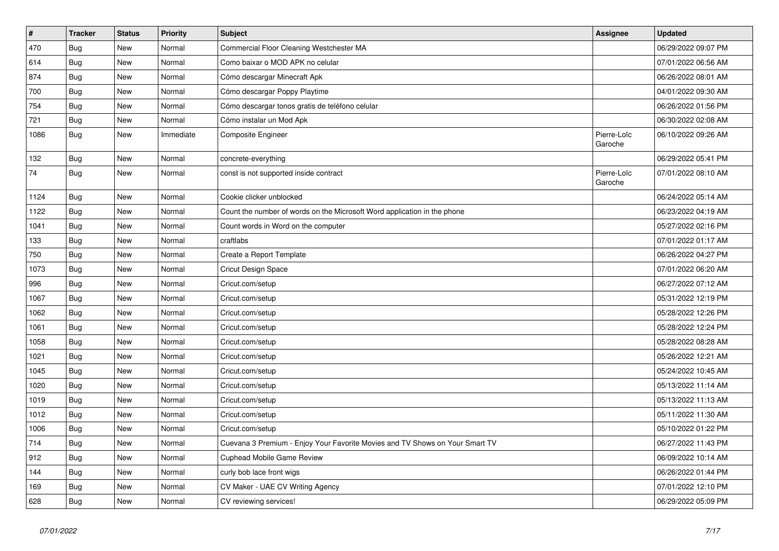| $\vert$ # | <b>Tracker</b> | <b>Status</b> | Priority  | <b>Subject</b>                                                               | <b>Assignee</b>        | <b>Updated</b>      |
|-----------|----------------|---------------|-----------|------------------------------------------------------------------------------|------------------------|---------------------|
| 470       | <b>Bug</b>     | <b>New</b>    | Normal    | Commercial Floor Cleaning Westchester MA                                     |                        | 06/29/2022 09:07 PM |
| 614       | Bug            | <b>New</b>    | Normal    | Como baixar o MOD APK no celular                                             |                        | 07/01/2022 06:56 AM |
| 874       | Bug            | <b>New</b>    | Normal    | Cómo descargar Minecraft Apk                                                 |                        | 06/26/2022 08:01 AM |
| 700       | <b>Bug</b>     | <b>New</b>    | Normal    | Cómo descargar Poppy Playtime                                                |                        | 04/01/2022 09:30 AM |
| 754       | Bug            | <b>New</b>    | Normal    | Cómo descargar tonos gratis de teléfono celular                              |                        | 06/26/2022 01:56 PM |
| 721       | <b>Bug</b>     | <b>New</b>    | Normal    | Cómo instalar un Mod Apk                                                     |                        | 06/30/2022 02:08 AM |
| 1086      | <b>Bug</b>     | <b>New</b>    | Immediate | <b>Composite Engineer</b>                                                    | Pierre-Loïc<br>Garoche | 06/10/2022 09:26 AM |
| 132       | Bug            | <b>New</b>    | Normal    | concrete-everything                                                          |                        | 06/29/2022 05:41 PM |
| 74        | <b>Bug</b>     | <b>New</b>    | Normal    | const is not supported inside contract                                       | Pierre-Loïc<br>Garoche | 07/01/2022 08:10 AM |
| 1124      | <b>Bug</b>     | New           | Normal    | Cookie clicker unblocked                                                     |                        | 06/24/2022 05:14 AM |
| 1122      | Bug            | New           | Normal    | Count the number of words on the Microsoft Word application in the phone     |                        | 06/23/2022 04:19 AM |
| 1041      | Bug            | <b>New</b>    | Normal    | Count words in Word on the computer                                          |                        | 05/27/2022 02:16 PM |
| 133       | <b>Bug</b>     | New           | Normal    | craftlabs                                                                    |                        | 07/01/2022 01:17 AM |
| 750       | <b>Bug</b>     | <b>New</b>    | Normal    | Create a Report Template                                                     |                        | 06/26/2022 04:27 PM |
| 1073      | <b>Bug</b>     | <b>New</b>    | Normal    | <b>Cricut Design Space</b>                                                   |                        | 07/01/2022 06:20 AM |
| 996       | <b>Bug</b>     | <b>New</b>    | Normal    | Cricut.com/setup                                                             |                        | 06/27/2022 07:12 AM |
| 1067      | <b>Bug</b>     | New           | Normal    | Cricut.com/setup                                                             |                        | 05/31/2022 12:19 PM |
| 1062      | Bug            | <b>New</b>    | Normal    | Cricut.com/setup                                                             |                        | 05/28/2022 12:26 PM |
| 1061      | <b>Bug</b>     | <b>New</b>    | Normal    | Cricut.com/setup                                                             |                        | 05/28/2022 12:24 PM |
| 1058      | Bug            | <b>New</b>    | Normal    | Cricut.com/setup                                                             |                        | 05/28/2022 08:28 AM |
| 1021      | <b>Bug</b>     | <b>New</b>    | Normal    | Cricut.com/setup                                                             |                        | 05/26/2022 12:21 AM |
| 1045      | <b>Bug</b>     | <b>New</b>    | Normal    | Cricut.com/setup                                                             |                        | 05/24/2022 10:45 AM |
| 1020      | <b>Bug</b>     | <b>New</b>    | Normal    | Cricut.com/setup                                                             |                        | 05/13/2022 11:14 AM |
| 1019      | Bug            | <b>New</b>    | Normal    | Cricut.com/setup                                                             |                        | 05/13/2022 11:13 AM |
| 1012      | <b>Bug</b>     | <b>New</b>    | Normal    | Cricut.com/setup                                                             |                        | 05/11/2022 11:30 AM |
| 1006      | <b>Bug</b>     | <b>New</b>    | Normal    | Cricut.com/setup                                                             |                        | 05/10/2022 01:22 PM |
| 714       | <b>Bug</b>     | New           | Normal    | Cuevana 3 Premium - Enjoy Your Favorite Movies and TV Shows on Your Smart TV |                        | 06/27/2022 11:43 PM |
| 912       | <b>Bug</b>     | <b>New</b>    | Normal    | Cuphead Mobile Game Review                                                   |                        | 06/09/2022 10:14 AM |
| 144       | <b>Bug</b>     | <b>New</b>    | Normal    | curly bob lace front wigs                                                    |                        | 06/26/2022 01:44 PM |
| 169       | Bug            | <b>New</b>    | Normal    | CV Maker - UAE CV Writing Agency                                             |                        | 07/01/2022 12:10 PM |
| 628       | Bug            | <b>New</b>    | Normal    | CV reviewing services!                                                       |                        | 06/29/2022 05:09 PM |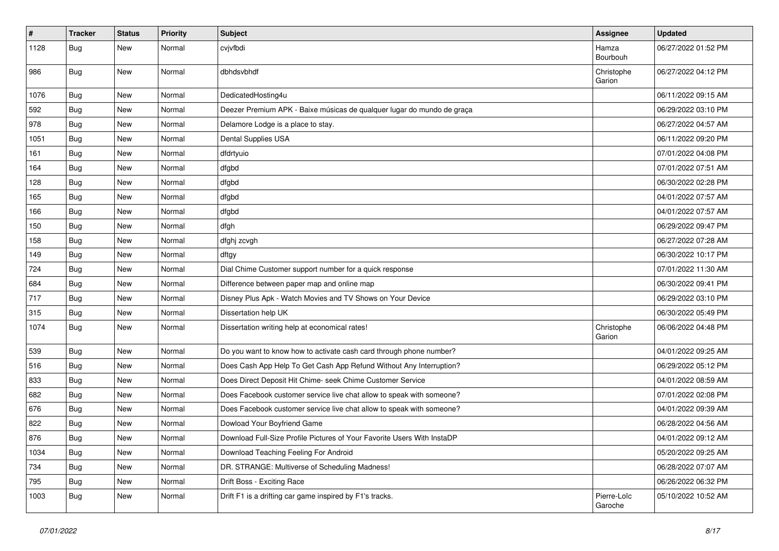| $\vert$ # | <b>Tracker</b> | <b>Status</b> | <b>Priority</b> | <b>Subject</b>                                                          | <b>Assignee</b>        | <b>Updated</b>      |
|-----------|----------------|---------------|-----------------|-------------------------------------------------------------------------|------------------------|---------------------|
| 1128      | Bug            | New           | Normal          | cvjvfbdi                                                                | Hamza<br>Bourbouh      | 06/27/2022 01:52 PM |
| 986       | Bug            | <b>New</b>    | Normal          | dbhdsvbhdf                                                              | Christophe<br>Garion   | 06/27/2022 04:12 PM |
| 1076      | Bug            | <b>New</b>    | Normal          | DedicatedHosting4u                                                      |                        | 06/11/2022 09:15 AM |
| 592       | Bug            | New           | Normal          | Deezer Premium APK - Baixe músicas de qualquer lugar do mundo de graça  |                        | 06/29/2022 03:10 PM |
| 978       | Bug            | New           | Normal          | Delamore Lodge is a place to stay.                                      |                        | 06/27/2022 04:57 AM |
| 1051      | Bug            | New           | Normal          | Dental Supplies USA                                                     |                        | 06/11/2022 09:20 PM |
| 161       | Bug            | New           | Normal          | dfdrtyuio                                                               |                        | 07/01/2022 04:08 PM |
| 164       | Bug            | <b>New</b>    | Normal          | dfgbd                                                                   |                        | 07/01/2022 07:51 AM |
| 128       | Bug            | New           | Normal          | dfgbd                                                                   |                        | 06/30/2022 02:28 PM |
| 165       | Bug            | New           | Normal          | dfgbd                                                                   |                        | 04/01/2022 07:57 AM |
| 166       | <b>Bug</b>     | <b>New</b>    | Normal          | dfgbd                                                                   |                        | 04/01/2022 07:57 AM |
| 150       | Bug            | New           | Normal          | dfgh                                                                    |                        | 06/29/2022 09:47 PM |
| 158       | Bug            | <b>New</b>    | Normal          | dfghj zcvgh                                                             |                        | 06/27/2022 07:28 AM |
| 149       | Bug            | New           | Normal          | dftgy                                                                   |                        | 06/30/2022 10:17 PM |
| 724       | <b>Bug</b>     | New           | Normal          | Dial Chime Customer support number for a quick response                 |                        | 07/01/2022 11:30 AM |
| 684       | Bug            | <b>New</b>    | Normal          | Difference between paper map and online map                             |                        | 06/30/2022 09:41 PM |
| 717       | <b>Bug</b>     | New           | Normal          | Disney Plus Apk - Watch Movies and TV Shows on Your Device              |                        | 06/29/2022 03:10 PM |
| 315       | Bug            | <b>New</b>    | Normal          | Dissertation help UK                                                    |                        | 06/30/2022 05:49 PM |
| 1074      | Bug            | New           | Normal          | Dissertation writing help at economical rates!                          | Christophe<br>Garion   | 06/06/2022 04:48 PM |
| 539       | Bug            | <b>New</b>    | Normal          | Do you want to know how to activate cash card through phone number?     |                        | 04/01/2022 09:25 AM |
| 516       | <b>Bug</b>     | New           | Normal          | Does Cash App Help To Get Cash App Refund Without Any Interruption?     |                        | 06/29/2022 05:12 PM |
| 833       | <b>Bug</b>     | New           | Normal          | Does Direct Deposit Hit Chime- seek Chime Customer Service              |                        | 04/01/2022 08:59 AM |
| 682       | Bug            | <b>New</b>    | Normal          | Does Facebook customer service live chat allow to speak with someone?   |                        | 07/01/2022 02:08 PM |
| 676       | <b>Bug</b>     | New           | Normal          | Does Facebook customer service live chat allow to speak with someone?   |                        | 04/01/2022 09:39 AM |
| 822       | <b>Bug</b>     | New           | Normal          | Dowload Your Boyfriend Game                                             |                        | 06/28/2022 04:56 AM |
| 876       | Bug            | New           | Normal          | Download Full-Size Profile Pictures of Your Favorite Users With InstaDP |                        | 04/01/2022 09:12 AM |
| 1034      | Bug            | New           | Normal          | Download Teaching Feeling For Android                                   |                        | 05/20/2022 09:25 AM |
| 734       | Bug            | New           | Normal          | DR. STRANGE: Multiverse of Scheduling Madness!                          |                        | 06/28/2022 07:07 AM |
| 795       | Bug            | New           | Normal          | Drift Boss - Exciting Race                                              |                        | 06/26/2022 06:32 PM |
| 1003      | Bug            | New           | Normal          | Drift F1 is a drifting car game inspired by F1's tracks.                | Pierre-Loïc<br>Garoche | 05/10/2022 10:52 AM |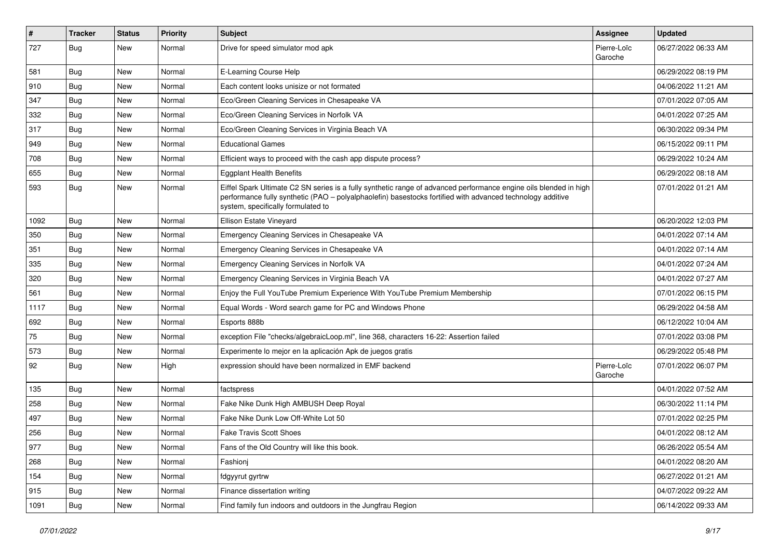| $\#$ | Tracker    | <b>Status</b> | Priority | <b>Subject</b>                                                                                                                                                                                                                                                        | <b>Assignee</b>        | <b>Updated</b>      |
|------|------------|---------------|----------|-----------------------------------------------------------------------------------------------------------------------------------------------------------------------------------------------------------------------------------------------------------------------|------------------------|---------------------|
| 727  | Bug        | New           | Normal   | Drive for speed simulator mod apk                                                                                                                                                                                                                                     | Pierre-Loïc<br>Garoche | 06/27/2022 06:33 AM |
| 581  | Bug        | New           | Normal   | E-Learning Course Help                                                                                                                                                                                                                                                |                        | 06/29/2022 08:19 PM |
| 910  | Bug        | New           | Normal   | Each content looks unisize or not formated                                                                                                                                                                                                                            |                        | 04/06/2022 11:21 AM |
| 347  | Bug        | <b>New</b>    | Normal   | Eco/Green Cleaning Services in Chesapeake VA                                                                                                                                                                                                                          |                        | 07/01/2022 07:05 AM |
| 332  | Bug        | New           | Normal   | Eco/Green Cleaning Services in Norfolk VA                                                                                                                                                                                                                             |                        | 04/01/2022 07:25 AM |
| 317  | Bug        | New           | Normal   | Eco/Green Cleaning Services in Virginia Beach VA                                                                                                                                                                                                                      |                        | 06/30/2022 09:34 PM |
| 949  | Bug        | New           | Normal   | <b>Educational Games</b>                                                                                                                                                                                                                                              |                        | 06/15/2022 09:11 PM |
| 708  | Bug        | New           | Normal   | Efficient ways to proceed with the cash app dispute process?                                                                                                                                                                                                          |                        | 06/29/2022 10:24 AM |
| 655  | Bug        | New           | Normal   | <b>Eggplant Health Benefits</b>                                                                                                                                                                                                                                       |                        | 06/29/2022 08:18 AM |
| 593  | Bug        | <b>New</b>    | Normal   | Eiffel Spark Ultimate C2 SN series is a fully synthetic range of advanced performance engine oils blended in high<br>performance fully synthetic (PAO - polyalphaolefin) basestocks fortified with advanced technology additive<br>system, specifically formulated to |                        | 07/01/2022 01:21 AM |
| 1092 | Bug        | New           | Normal   | Ellison Estate Vineyard                                                                                                                                                                                                                                               |                        | 06/20/2022 12:03 PM |
| 350  | Bug        | <b>New</b>    | Normal   | Emergency Cleaning Services in Chesapeake VA                                                                                                                                                                                                                          |                        | 04/01/2022 07:14 AM |
| 351  | Bug        | New           | Normal   | Emergency Cleaning Services in Chesapeake VA                                                                                                                                                                                                                          |                        | 04/01/2022 07:14 AM |
| 335  | Bug        | New           | Normal   | Emergency Cleaning Services in Norfolk VA                                                                                                                                                                                                                             |                        | 04/01/2022 07:24 AM |
| 320  | Bug        | New           | Normal   | Emergency Cleaning Services in Virginia Beach VA                                                                                                                                                                                                                      |                        | 04/01/2022 07:27 AM |
| 561  | Bug        | New           | Normal   | Enjoy the Full YouTube Premium Experience With YouTube Premium Membership                                                                                                                                                                                             |                        | 07/01/2022 06:15 PM |
| 1117 | Bug        | New           | Normal   | Equal Words - Word search game for PC and Windows Phone                                                                                                                                                                                                               |                        | 06/29/2022 04:58 AM |
| 692  | Bug        | New           | Normal   | Esports 888b                                                                                                                                                                                                                                                          |                        | 06/12/2022 10:04 AM |
| 75   | Bug        | <b>New</b>    | Normal   | exception File "checks/algebraicLoop.ml", line 368, characters 16-22: Assertion failed                                                                                                                                                                                |                        | 07/01/2022 03:08 PM |
| 573  | Bug        | <b>New</b>    | Normal   | Experimente lo mejor en la aplicación Apk de juegos gratis                                                                                                                                                                                                            |                        | 06/29/2022 05:48 PM |
| 92   | Bug        | <b>New</b>    | High     | expression should have been normalized in EMF backend                                                                                                                                                                                                                 | Pierre-Loïc<br>Garoche | 07/01/2022 06:07 PM |
| 135  | Bug        | <b>New</b>    | Normal   | factspress                                                                                                                                                                                                                                                            |                        | 04/01/2022 07:52 AM |
| 258  | <b>Bug</b> | New           | Normal   | Fake Nike Dunk High AMBUSH Deep Royal                                                                                                                                                                                                                                 |                        | 06/30/2022 11:14 PM |
| 497  | <b>Bug</b> | New           | Normal   | Fake Nike Dunk Low Off-White Lot 50                                                                                                                                                                                                                                   |                        | 07/01/2022 02:25 PM |
| 256  | <b>Bug</b> | New           | Normal   | <b>Fake Travis Scott Shoes</b>                                                                                                                                                                                                                                        |                        | 04/01/2022 08:12 AM |
| 977  | <b>Bug</b> | New           | Normal   | Fans of the Old Country will like this book.                                                                                                                                                                                                                          |                        | 06/26/2022 05:54 AM |
| 268  | Bug        | New           | Normal   | Fashionj                                                                                                                                                                                                                                                              |                        | 04/01/2022 08:20 AM |
| 154  | Bug        | New           | Normal   | fdgyyrut gyrtrw                                                                                                                                                                                                                                                       |                        | 06/27/2022 01:21 AM |
| 915  | Bug        | New           | Normal   | Finance dissertation writing                                                                                                                                                                                                                                          |                        | 04/07/2022 09:22 AM |
| 1091 | <b>Bug</b> | New           | Normal   | Find family fun indoors and outdoors in the Jungfrau Region                                                                                                                                                                                                           |                        | 06/14/2022 09:33 AM |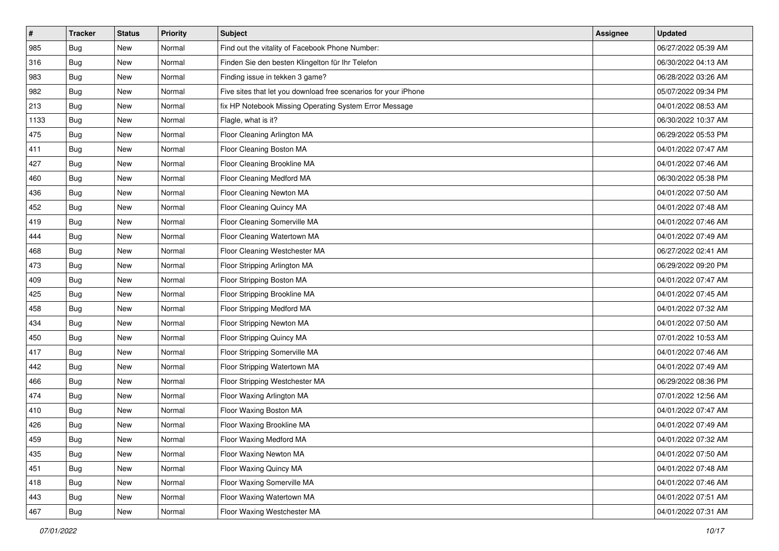| $\vert$ # | <b>Tracker</b> | <b>Status</b> | Priority | <b>Subject</b>                                                  | <b>Assignee</b> | <b>Updated</b>      |
|-----------|----------------|---------------|----------|-----------------------------------------------------------------|-----------------|---------------------|
| 985       | <b>Bug</b>     | New           | Normal   | Find out the vitality of Facebook Phone Number:                 |                 | 06/27/2022 05:39 AM |
| 316       | Bug            | New           | Normal   | Finden Sie den besten Klingelton für Ihr Telefon                |                 | 06/30/2022 04:13 AM |
| 983       | Bug            | New           | Normal   | Finding issue in tekken 3 game?                                 |                 | 06/28/2022 03:26 AM |
| 982       | <b>Bug</b>     | New           | Normal   | Five sites that let you download free scenarios for your iPhone |                 | 05/07/2022 09:34 PM |
| 213       | Bug            | New           | Normal   | fix HP Notebook Missing Operating System Error Message          |                 | 04/01/2022 08:53 AM |
| 1133      | <b>Bug</b>     | New           | Normal   | Flagle, what is it?                                             |                 | 06/30/2022 10:37 AM |
| 475       | <b>Bug</b>     | New           | Normal   | Floor Cleaning Arlington MA                                     |                 | 06/29/2022 05:53 PM |
| 411       | Bug            | New           | Normal   | Floor Cleaning Boston MA                                        |                 | 04/01/2022 07:47 AM |
| 427       | <b>Bug</b>     | New           | Normal   | Floor Cleaning Brookline MA                                     |                 | 04/01/2022 07:46 AM |
| 460       | Bug            | New           | Normal   | Floor Cleaning Medford MA                                       |                 | 06/30/2022 05:38 PM |
| 436       | <b>Bug</b>     | New           | Normal   | Floor Cleaning Newton MA                                        |                 | 04/01/2022 07:50 AM |
| 452       | Bug            | New           | Normal   | Floor Cleaning Quincy MA                                        |                 | 04/01/2022 07:48 AM |
| 419       | <b>Bug</b>     | New           | Normal   | Floor Cleaning Somerville MA                                    |                 | 04/01/2022 07:46 AM |
| 444       | <b>Bug</b>     | New           | Normal   | Floor Cleaning Watertown MA                                     |                 | 04/01/2022 07:49 AM |
| 468       | <b>Bug</b>     | New           | Normal   | Floor Cleaning Westchester MA                                   |                 | 06/27/2022 02:41 AM |
| 473       | Bug            | New           | Normal   | Floor Stripping Arlington MA                                    |                 | 06/29/2022 09:20 PM |
| 409       | <b>Bug</b>     | New           | Normal   | Floor Stripping Boston MA                                       |                 | 04/01/2022 07:47 AM |
| 425       | Bug            | New           | Normal   | Floor Stripping Brookline MA                                    |                 | 04/01/2022 07:45 AM |
| 458       | Bug            | New           | Normal   | Floor Stripping Medford MA                                      |                 | 04/01/2022 07:32 AM |
| 434       | <b>Bug</b>     | New           | Normal   | Floor Stripping Newton MA                                       |                 | 04/01/2022 07:50 AM |
| 450       | <b>Bug</b>     | New           | Normal   | Floor Stripping Quincy MA                                       |                 | 07/01/2022 10:53 AM |
| 417       | <b>Bug</b>     | New           | Normal   | Floor Stripping Somerville MA                                   |                 | 04/01/2022 07:46 AM |
| 442       | Bug            | New           | Normal   | Floor Stripping Watertown MA                                    |                 | 04/01/2022 07:49 AM |
| 466       | <b>Bug</b>     | New           | Normal   | Floor Stripping Westchester MA                                  |                 | 06/29/2022 08:36 PM |
| 474       | Bug            | New           | Normal   | Floor Waxing Arlington MA                                       |                 | 07/01/2022 12:56 AM |
| 410       | <b>Bug</b>     | <b>New</b>    | Normal   | Floor Waxing Boston MA                                          |                 | 04/01/2022 07:47 AM |
| 426       | <b>Bug</b>     | New           | Normal   | Floor Waxing Brookline MA                                       |                 | 04/01/2022 07:49 AM |
| 459       | i Bug          | New           | Normal   | Floor Waxing Medford MA                                         |                 | 04/01/2022 07:32 AM |
| 435       | Bug            | New           | Normal   | Floor Waxing Newton MA                                          |                 | 04/01/2022 07:50 AM |
| 451       | Bug            | New           | Normal   | Floor Waxing Quincy MA                                          |                 | 04/01/2022 07:48 AM |
| 418       | Bug            | New           | Normal   | Floor Waxing Somerville MA                                      |                 | 04/01/2022 07:46 AM |
| 443       | <b>Bug</b>     | New           | Normal   | Floor Waxing Watertown MA                                       |                 | 04/01/2022 07:51 AM |
| 467       | <b>Bug</b>     | New           | Normal   | Floor Waxing Westchester MA                                     |                 | 04/01/2022 07:31 AM |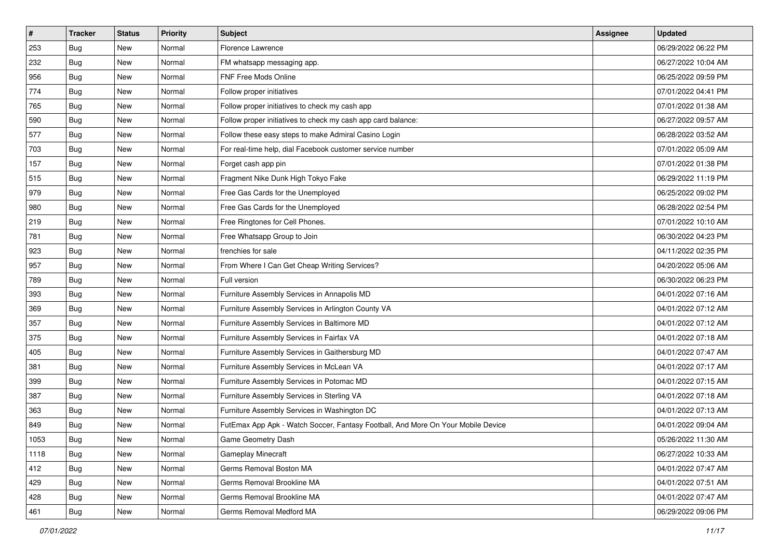| $\sharp$ | <b>Tracker</b> | <b>Status</b> | <b>Priority</b> | Subject                                                                          | <b>Assignee</b> | <b>Updated</b>      |
|----------|----------------|---------------|-----------------|----------------------------------------------------------------------------------|-----------------|---------------------|
| 253      | Bug            | New           | Normal          | Florence Lawrence                                                                |                 | 06/29/2022 06:22 PM |
| 232      | Bug            | <b>New</b>    | Normal          | FM whatsapp messaging app.                                                       |                 | 06/27/2022 10:04 AM |
| 956      | <b>Bug</b>     | New           | Normal          | FNF Free Mods Online                                                             |                 | 06/25/2022 09:59 PM |
| 774      | <b>Bug</b>     | <b>New</b>    | Normal          | Follow proper initiatives                                                        |                 | 07/01/2022 04:41 PM |
| 765      | Bug            | <b>New</b>    | Normal          | Follow proper initiatives to check my cash app                                   |                 | 07/01/2022 01:38 AM |
| 590      | <b>Bug</b>     | New           | Normal          | Follow proper initiatives to check my cash app card balance:                     |                 | 06/27/2022 09:57 AM |
| 577      | Bug            | <b>New</b>    | Normal          | Follow these easy steps to make Admiral Casino Login                             |                 | 06/28/2022 03:52 AM |
| 703      | <b>Bug</b>     | New           | Normal          | For real-time help, dial Facebook customer service number                        |                 | 07/01/2022 05:09 AM |
| 157      | Bug            | New           | Normal          | Forget cash app pin                                                              |                 | 07/01/2022 01:38 PM |
| 515      | Bug            | <b>New</b>    | Normal          | Fragment Nike Dunk High Tokyo Fake                                               |                 | 06/29/2022 11:19 PM |
| 979      | <b>Bug</b>     | New           | Normal          | Free Gas Cards for the Unemployed                                                |                 | 06/25/2022 09:02 PM |
| 980      | <b>Bug</b>     | New           | Normal          | Free Gas Cards for the Unemployed                                                |                 | 06/28/2022 02:54 PM |
| 219      | <b>Bug</b>     | New           | Normal          | Free Ringtones for Cell Phones.                                                  |                 | 07/01/2022 10:10 AM |
| 781      | Bug            | <b>New</b>    | Normal          | Free Whatsapp Group to Join                                                      |                 | 06/30/2022 04:23 PM |
| 923      | Bug            | New           | Normal          | frenchies for sale                                                               |                 | 04/11/2022 02:35 PM |
| 957      | <b>Bug</b>     | New           | Normal          | From Where I Can Get Cheap Writing Services?                                     |                 | 04/20/2022 05:06 AM |
| 789      | <b>Bug</b>     | New           | Normal          | Full version                                                                     |                 | 06/30/2022 06:23 PM |
| 393      | Bug            | <b>New</b>    | Normal          | Furniture Assembly Services in Annapolis MD                                      |                 | 04/01/2022 07:16 AM |
| 369      | Bug            | New           | Normal          | Furniture Assembly Services in Arlington County VA                               |                 | 04/01/2022 07:12 AM |
| 357      | Bug            | <b>New</b>    | Normal          | Furniture Assembly Services in Baltimore MD                                      |                 | 04/01/2022 07:12 AM |
| 375      | <b>Bug</b>     | New           | Normal          | Furniture Assembly Services in Fairfax VA                                        |                 | 04/01/2022 07:18 AM |
| 405      | <b>Bug</b>     | New           | Normal          | Furniture Assembly Services in Gaithersburg MD                                   |                 | 04/01/2022 07:47 AM |
| 381      | Bug            | <b>New</b>    | Normal          | Furniture Assembly Services in McLean VA                                         |                 | 04/01/2022 07:17 AM |
| 399      | <b>Bug</b>     | New           | Normal          | Furniture Assembly Services in Potomac MD                                        |                 | 04/01/2022 07:15 AM |
| 387      | Bug            | New           | Normal          | Furniture Assembly Services in Sterling VA                                       |                 | 04/01/2022 07:18 AM |
| 363      | <b>Bug</b>     | New           | Normal          | Furniture Assembly Services in Washington DC                                     |                 | 04/01/2022 07:13 AM |
| 849      | Bug            | New           | Normal          | FutEmax App Apk - Watch Soccer, Fantasy Football, And More On Your Mobile Device |                 | 04/01/2022 09:04 AM |
| 1053     | <b>Bug</b>     | New           | Normal          | Game Geometry Dash                                                               |                 | 05/26/2022 11:30 AM |
| 1118     | Bug            | New           | Normal          | <b>Gameplay Minecraft</b>                                                        |                 | 06/27/2022 10:33 AM |
| 412      | Bug            | New           | Normal          | Germs Removal Boston MA                                                          |                 | 04/01/2022 07:47 AM |
| 429      | Bug            | New           | Normal          | Germs Removal Brookline MA                                                       |                 | 04/01/2022 07:51 AM |
| 428      | Bug            | New           | Normal          | Germs Removal Brookline MA                                                       |                 | 04/01/2022 07:47 AM |
| 461      | <b>Bug</b>     | New           | Normal          | Germs Removal Medford MA                                                         |                 | 06/29/2022 09:06 PM |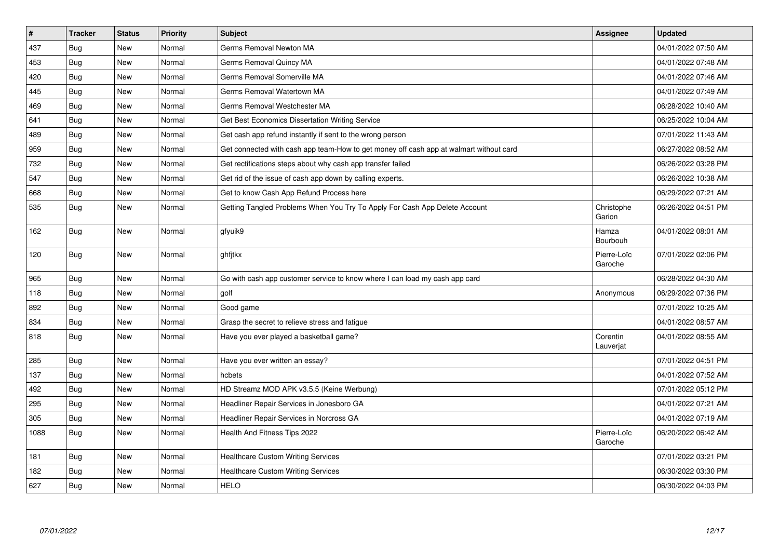| $\vert$ # | <b>Tracker</b> | <b>Status</b> | <b>Priority</b> | <b>Subject</b>                                                                         | Assignee               | <b>Updated</b>      |
|-----------|----------------|---------------|-----------------|----------------------------------------------------------------------------------------|------------------------|---------------------|
| 437       | Bug            | New           | Normal          | Germs Removal Newton MA                                                                |                        | 04/01/2022 07:50 AM |
| 453       | Bug            | <b>New</b>    | Normal          | Germs Removal Quincy MA                                                                |                        | 04/01/2022 07:48 AM |
| 420       | Bug            | New           | Normal          | Germs Removal Somerville MA                                                            |                        | 04/01/2022 07:46 AM |
| 445       | <b>Bug</b>     | <b>New</b>    | Normal          | Germs Removal Watertown MA                                                             |                        | 04/01/2022 07:49 AM |
| 469       | <b>Bug</b>     | <b>New</b>    | Normal          | Germs Removal Westchester MA                                                           |                        | 06/28/2022 10:40 AM |
| 641       | Bug            | New           | Normal          | Get Best Economics Dissertation Writing Service                                        |                        | 06/25/2022 10:04 AM |
| 489       | <b>Bug</b>     | <b>New</b>    | Normal          | Get cash app refund instantly if sent to the wrong person                              |                        | 07/01/2022 11:43 AM |
| 959       | Bug            | <b>New</b>    | Normal          | Get connected with cash app team-How to get money off cash app at walmart without card |                        | 06/27/2022 08:52 AM |
| 732       | Bug            | New           | Normal          | Get rectifications steps about why cash app transfer failed                            |                        | 06/26/2022 03:28 PM |
| 547       | <b>Bug</b>     | <b>New</b>    | Normal          | Get rid of the issue of cash app down by calling experts.                              |                        | 06/26/2022 10:38 AM |
| 668       | <b>Bug</b>     | <b>New</b>    | Normal          | Get to know Cash App Refund Process here                                               |                        | 06/29/2022 07:21 AM |
| 535       | <b>Bug</b>     | <b>New</b>    | Normal          | Getting Tangled Problems When You Try To Apply For Cash App Delete Account             | Christophe<br>Garion   | 06/26/2022 04:51 PM |
| 162       | Bug            | <b>New</b>    | Normal          | gfyuik9                                                                                | Hamza<br>Bourbouh      | 04/01/2022 08:01 AM |
| 120       | Bug            | New           | Normal          | ghfjtkx                                                                                | Pierre-Loïc<br>Garoche | 07/01/2022 02:06 PM |
| 965       | Bug            | <b>New</b>    | Normal          | Go with cash app customer service to know where I can load my cash app card            |                        | 06/28/2022 04:30 AM |
| 118       | Bug            | <b>New</b>    | Normal          | golf                                                                                   | Anonymous              | 06/29/2022 07:36 PM |
| 892       | Bug            | <b>New</b>    | Normal          | Good game                                                                              |                        | 07/01/2022 10:25 AM |
| 834       | Bug            | New           | Normal          | Grasp the secret to relieve stress and fatigue                                         |                        | 04/01/2022 08:57 AM |
| 818       | Bug            | <b>New</b>    | Normal          | Have you ever played a basketball game?                                                | Corentin<br>Lauverjat  | 04/01/2022 08:55 AM |
| 285       | Bug            | <b>New</b>    | Normal          | Have you ever written an essay?                                                        |                        | 07/01/2022 04:51 PM |
| 137       | Bug            | <b>New</b>    | Normal          | hcbets                                                                                 |                        | 04/01/2022 07:52 AM |
| 492       | Bug            | <b>New</b>    | Normal          | HD Streamz MOD APK v3.5.5 (Keine Werbung)                                              |                        | 07/01/2022 05:12 PM |
| 295       | Bug            | <b>New</b>    | Normal          | Headliner Repair Services in Jonesboro GA                                              |                        | 04/01/2022 07:21 AM |
| 305       | Bug            | <b>New</b>    | Normal          | Headliner Repair Services in Norcross GA                                               |                        | 04/01/2022 07:19 AM |
| 1088      | Bug            | <b>New</b>    | Normal          | Health And Fitness Tips 2022                                                           | Pierre-Loïc<br>Garoche | 06/20/2022 06:42 AM |
| 181       | <b>Bug</b>     | New           | Normal          | <b>Healthcare Custom Writing Services</b>                                              |                        | 07/01/2022 03:21 PM |
| 182       | Bug            | New           | Normal          | <b>Healthcare Custom Writing Services</b>                                              |                        | 06/30/2022 03:30 PM |
| 627       | <b>Bug</b>     | <b>New</b>    | Normal          | <b>HELO</b>                                                                            |                        | 06/30/2022 04:03 PM |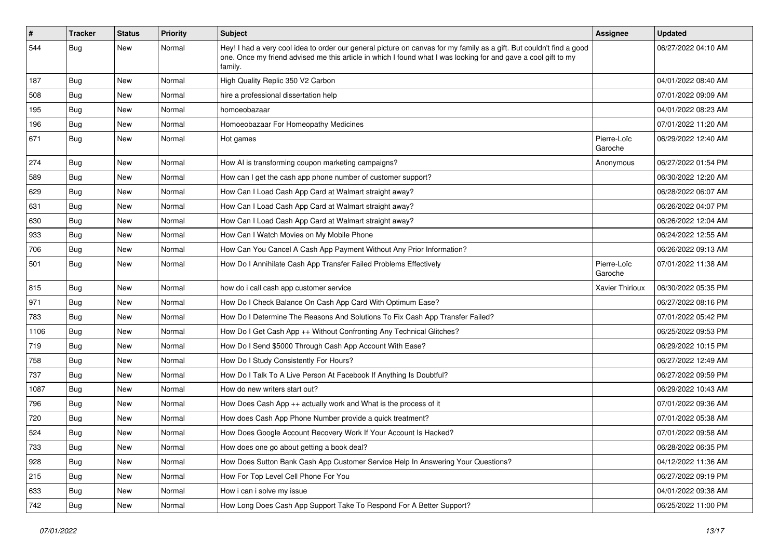| $\vert$ # | <b>Tracker</b> | <b>Status</b> | <b>Priority</b> | <b>Subject</b>                                                                                                                                                                                                                                    | Assignee               | <b>Updated</b>      |
|-----------|----------------|---------------|-----------------|---------------------------------------------------------------------------------------------------------------------------------------------------------------------------------------------------------------------------------------------------|------------------------|---------------------|
| 544       | <b>Bug</b>     | New           | Normal          | Hey! I had a very cool idea to order our general picture on canvas for my family as a gift. But couldn't find a good<br>one. Once my friend advised me this article in which I found what I was looking for and gave a cool gift to my<br>family. |                        | 06/27/2022 04:10 AM |
| 187       | Bug            | New           | Normal          | High Quality Replic 350 V2 Carbon                                                                                                                                                                                                                 |                        | 04/01/2022 08:40 AM |
| 508       | Bug            | New           | Normal          | hire a professional dissertation help                                                                                                                                                                                                             |                        | 07/01/2022 09:09 AM |
| 195       | Bug            | New           | Normal          | homoeobazaar                                                                                                                                                                                                                                      |                        | 04/01/2022 08:23 AM |
| 196       | Bug            | New           | Normal          | Homoeobazaar For Homeopathy Medicines                                                                                                                                                                                                             |                        | 07/01/2022 11:20 AM |
| 671       | Bug            | New           | Normal          | Hot games                                                                                                                                                                                                                                         | Pierre-Loïc<br>Garoche | 06/29/2022 12:40 AM |
| 274       | Bug            | New           | Normal          | How AI is transforming coupon marketing campaigns?                                                                                                                                                                                                | Anonymous              | 06/27/2022 01:54 PM |
| 589       | Bug            | New           | Normal          | How can I get the cash app phone number of customer support?                                                                                                                                                                                      |                        | 06/30/2022 12:20 AM |
| 629       | Bug            | New           | Normal          | How Can I Load Cash App Card at Walmart straight away?                                                                                                                                                                                            |                        | 06/28/2022 06:07 AM |
| 631       | Bug            | New           | Normal          | How Can I Load Cash App Card at Walmart straight away?                                                                                                                                                                                            |                        | 06/26/2022 04:07 PM |
| 630       | <b>Bug</b>     | New           | Normal          | How Can I Load Cash App Card at Walmart straight away?                                                                                                                                                                                            |                        | 06/26/2022 12:04 AM |
| 933       | Bug            | New           | Normal          | How Can I Watch Movies on My Mobile Phone                                                                                                                                                                                                         |                        | 06/24/2022 12:55 AM |
| 706       | Bug            | New           | Normal          | How Can You Cancel A Cash App Payment Without Any Prior Information?                                                                                                                                                                              |                        | 06/26/2022 09:13 AM |
| 501       | Bug            | New           | Normal          | How Do I Annihilate Cash App Transfer Failed Problems Effectively                                                                                                                                                                                 | Pierre-Loïc<br>Garoche | 07/01/2022 11:38 AM |
| 815       | Bug            | New           | Normal          | how do i call cash app customer service                                                                                                                                                                                                           | Xavier Thirioux        | 06/30/2022 05:35 PM |
| 971       | <b>Bug</b>     | New           | Normal          | How Do I Check Balance On Cash App Card With Optimum Ease?                                                                                                                                                                                        |                        | 06/27/2022 08:16 PM |
| 783       | Bug            | New           | Normal          | How Do I Determine The Reasons And Solutions To Fix Cash App Transfer Failed?                                                                                                                                                                     |                        | 07/01/2022 05:42 PM |
| 1106      | <b>Bug</b>     | New           | Normal          | How Do I Get Cash App ++ Without Confronting Any Technical Glitches?                                                                                                                                                                              |                        | 06/25/2022 09:53 PM |
| 719       | Bug            | New           | Normal          | How Do I Send \$5000 Through Cash App Account With Ease?                                                                                                                                                                                          |                        | 06/29/2022 10:15 PM |
| 758       | Bug            | New           | Normal          | How Do I Study Consistently For Hours?                                                                                                                                                                                                            |                        | 06/27/2022 12:49 AM |
| 737       | Bug            | New           | Normal          | How Do I Talk To A Live Person At Facebook If Anything Is Doubtful?                                                                                                                                                                               |                        | 06/27/2022 09:59 PM |
| 1087      | Bug            | <b>New</b>    | Normal          | How do new writers start out?                                                                                                                                                                                                                     |                        | 06/29/2022 10:43 AM |
| 796       | <b>Bug</b>     | New           | Normal          | How Does Cash App $++$ actually work and What is the process of it                                                                                                                                                                                |                        | 07/01/2022 09:36 AM |
| 720       | Bug            | New           | Normal          | How does Cash App Phone Number provide a quick treatment?                                                                                                                                                                                         |                        | 07/01/2022 05:38 AM |
| 524       | <b>Bug</b>     | New           | Normal          | How Does Google Account Recovery Work If Your Account Is Hacked?                                                                                                                                                                                  |                        | 07/01/2022 09:58 AM |
| 733       | <b>Bug</b>     | New           | Normal          | How does one go about getting a book deal?                                                                                                                                                                                                        |                        | 06/28/2022 06:35 PM |
| 928       | Bug            | New           | Normal          | How Does Sutton Bank Cash App Customer Service Help In Answering Your Questions?                                                                                                                                                                  |                        | 04/12/2022 11:36 AM |
| 215       | Bug            | New           | Normal          | How For Top Level Cell Phone For You                                                                                                                                                                                                              |                        | 06/27/2022 09:19 PM |
| 633       | <b>Bug</b>     | New           | Normal          | How i can i solve my issue                                                                                                                                                                                                                        |                        | 04/01/2022 09:38 AM |
| 742       | <b>Bug</b>     | New           | Normal          | How Long Does Cash App Support Take To Respond For A Better Support?                                                                                                                                                                              |                        | 06/25/2022 11:00 PM |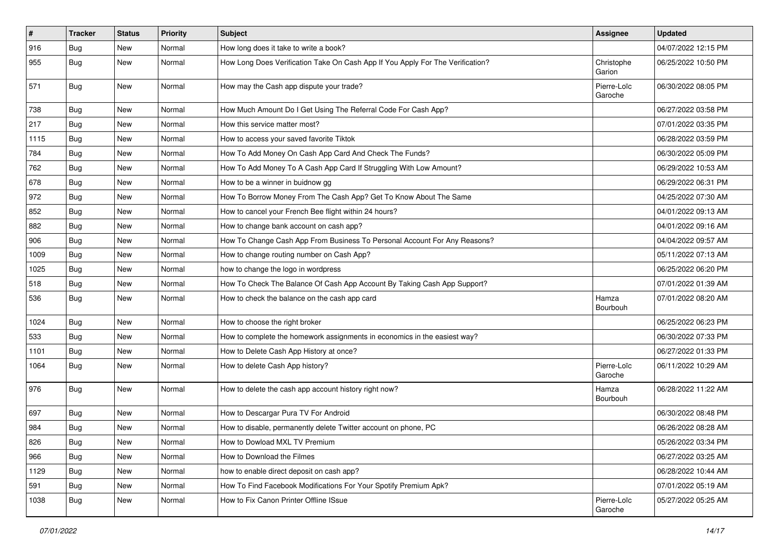| $\vert$ # | <b>Tracker</b> | <b>Status</b> | <b>Priority</b> | Subject                                                                        | <b>Assignee</b>        | <b>Updated</b>      |
|-----------|----------------|---------------|-----------------|--------------------------------------------------------------------------------|------------------------|---------------------|
| 916       | <b>Bug</b>     | New           | Normal          | How long does it take to write a book?                                         |                        | 04/07/2022 12:15 PM |
| 955       | Bug            | New           | Normal          | How Long Does Verification Take On Cash App If You Apply For The Verification? | Christophe<br>Garion   | 06/25/2022 10:50 PM |
| 571       | Bug            | New           | Normal          | How may the Cash app dispute your trade?                                       | Pierre-Loïc<br>Garoche | 06/30/2022 08:05 PM |
| 738       | Bug            | <b>New</b>    | Normal          | How Much Amount Do I Get Using The Referral Code For Cash App?                 |                        | 06/27/2022 03:58 PM |
| 217       | <b>Bug</b>     | New           | Normal          | How this service matter most?                                                  |                        | 07/01/2022 03:35 PM |
| 1115      | Bug            | <b>New</b>    | Normal          | How to access your saved favorite Tiktok                                       |                        | 06/28/2022 03:59 PM |
| 784       | <b>Bug</b>     | New           | Normal          | How To Add Money On Cash App Card And Check The Funds?                         |                        | 06/30/2022 05:09 PM |
| 762       | Bug            | New           | Normal          | How To Add Money To A Cash App Card If Struggling With Low Amount?             |                        | 06/29/2022 10:53 AM |
| 678       | <b>Bug</b>     | New           | Normal          | How to be a winner in buidnow gg                                               |                        | 06/29/2022 06:31 PM |
| 972       | <b>Bug</b>     | New           | Normal          | How To Borrow Money From The Cash App? Get To Know About The Same              |                        | 04/25/2022 07:30 AM |
| 852       | Bug            | <b>New</b>    | Normal          | How to cancel your French Bee flight within 24 hours?                          |                        | 04/01/2022 09:13 AM |
| 882       | Bug            | New           | Normal          | How to change bank account on cash app?                                        |                        | 04/01/2022 09:16 AM |
| 906       | Bug            | <b>New</b>    | Normal          | How To Change Cash App From Business To Personal Account For Any Reasons?      |                        | 04/04/2022 09:57 AM |
| 1009      | Bug            | <b>New</b>    | Normal          | How to change routing number on Cash App?                                      |                        | 05/11/2022 07:13 AM |
| 1025      | <b>Bug</b>     | New           | Normal          | how to change the logo in wordpress                                            |                        | 06/25/2022 06:20 PM |
| 518       | Bug            | <b>New</b>    | Normal          | How To Check The Balance Of Cash App Account By Taking Cash App Support?       |                        | 07/01/2022 01:39 AM |
| 536       | Bug            | New           | Normal          | How to check the balance on the cash app card                                  | Hamza<br>Bourbouh      | 07/01/2022 08:20 AM |
| 1024      | Bug            | <b>New</b>    | Normal          | How to choose the right broker                                                 |                        | 06/25/2022 06:23 PM |
| 533       | Bug            | New           | Normal          | How to complete the homework assignments in economics in the easiest way?      |                        | 06/30/2022 07:33 PM |
| 1101      | Bug            | <b>New</b>    | Normal          | How to Delete Cash App History at once?                                        |                        | 06/27/2022 01:33 PM |
| 1064      | Bug            | New           | Normal          | How to delete Cash App history?                                                | Pierre-Loïc<br>Garoche | 06/11/2022 10:29 AM |
| 976       | Bug            | <b>New</b>    | Normal          | How to delete the cash app account history right now?                          | Hamza<br>Bourbouh      | 06/28/2022 11:22 AM |
| 697       | <b>Bug</b>     | <b>New</b>    | Normal          | How to Descargar Pura TV For Android                                           |                        | 06/30/2022 08:48 PM |
| 984       | Bug            | <b>New</b>    | Normal          | How to disable, permanently delete Twitter account on phone, PC                |                        | 06/26/2022 08:28 AM |
| 826       | Bug            | New           | Normal          | How to Dowload MXL TV Premium                                                  |                        | 05/26/2022 03:34 PM |
| 966       | Bug            | New           | Normal          | How to Download the Filmes                                                     |                        | 06/27/2022 03:25 AM |
| 1129      | Bug            | New           | Normal          | how to enable direct deposit on cash app?                                      |                        | 06/28/2022 10:44 AM |
| 591       | Bug            | New           | Normal          | How To Find Facebook Modifications For Your Spotify Premium Apk?               |                        | 07/01/2022 05:19 AM |
| 1038      | Bug            | New           | Normal          | How to Fix Canon Printer Offline ISsue                                         | Pierre-Loïc<br>Garoche | 05/27/2022 05:25 AM |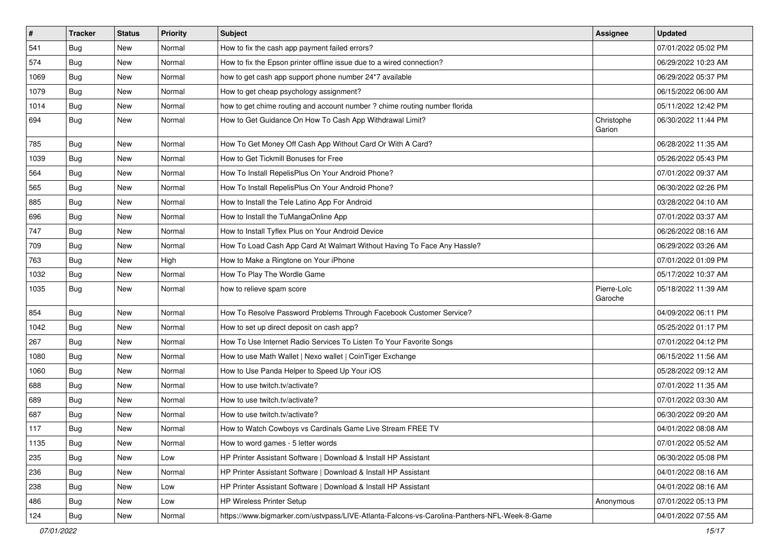| $\vert$ # | <b>Tracker</b> | <b>Status</b> | <b>Priority</b> | Subject                                                                                      | <b>Assignee</b>        | <b>Updated</b>      |
|-----------|----------------|---------------|-----------------|----------------------------------------------------------------------------------------------|------------------------|---------------------|
| 541       | Bug            | New           | Normal          | How to fix the cash app payment failed errors?                                               |                        | 07/01/2022 05:02 PM |
| 574       | <b>Bug</b>     | <b>New</b>    | Normal          | How to fix the Epson printer offline issue due to a wired connection?                        |                        | 06/29/2022 10:23 AM |
| 1069      | Bug            | New           | Normal          | how to get cash app support phone number 24*7 available                                      |                        | 06/29/2022 05:37 PM |
| 1079      | Bug            | New           | Normal          | How to get cheap psychology assignment?                                                      |                        | 06/15/2022 06:00 AM |
| 1014      | Bug            | <b>New</b>    | Normal          | how to get chime routing and account number ? chime routing number florida                   |                        | 05/11/2022 12:42 PM |
| 694       | <b>Bug</b>     | New           | Normal          | How to Get Guidance On How To Cash App Withdrawal Limit?                                     | Christophe<br>Garion   | 06/30/2022 11:44 PM |
| 785       | Bug            | <b>New</b>    | Normal          | How To Get Money Off Cash App Without Card Or With A Card?                                   |                        | 06/28/2022 11:35 AM |
| 1039      | Bug            | New           | Normal          | How to Get Tickmill Bonuses for Free                                                         |                        | 05/26/2022 05:43 PM |
| 564       | Bug            | <b>New</b>    | Normal          | How To Install RepelisPlus On Your Android Phone?                                            |                        | 07/01/2022 09:37 AM |
| 565       | Bug            | New           | Normal          | How To Install RepelisPlus On Your Android Phone?                                            |                        | 06/30/2022 02:26 PM |
| 885       | <b>Bug</b>     | New           | Normal          | How to Install the Tele Latino App For Android                                               |                        | 03/28/2022 04:10 AM |
| 696       | Bug            | <b>New</b>    | Normal          | How to Install the TuMangaOnline App                                                         |                        | 07/01/2022 03:37 AM |
| 747       | Bug            | <b>New</b>    | Normal          | How to Install Tyflex Plus on Your Android Device                                            |                        | 06/26/2022 08:16 AM |
| 709       | Bug            | <b>New</b>    | Normal          | How To Load Cash App Card At Walmart Without Having To Face Any Hassle?                      |                        | 06/29/2022 03:26 AM |
| 763       | Bug            | New           | High            | How to Make a Ringtone on Your iPhone                                                        |                        | 07/01/2022 01:09 PM |
| 1032      | Bug            | New           | Normal          | How To Play The Wordle Game                                                                  |                        | 05/17/2022 10:37 AM |
| 1035      | Bug            | <b>New</b>    | Normal          | how to relieve spam score                                                                    | Pierre-Loïc<br>Garoche | 05/18/2022 11:39 AM |
| 854       | Bug            | <b>New</b>    | Normal          | How To Resolve Password Problems Through Facebook Customer Service?                          |                        | 04/09/2022 06:11 PM |
| 1042      | <b>Bug</b>     | <b>New</b>    | Normal          | How to set up direct deposit on cash app?                                                    |                        | 05/25/2022 01:17 PM |
| 267       | Bug            | New           | Normal          | How To Use Internet Radio Services To Listen To Your Favorite Songs                          |                        | 07/01/2022 04:12 PM |
| 1080      | Bug            | <b>New</b>    | Normal          | How to use Math Wallet   Nexo wallet   CoinTiger Exchange                                    |                        | 06/15/2022 11:56 AM |
| 1060      | Bug            | New           | Normal          | How to Use Panda Helper to Speed Up Your iOS                                                 |                        | 05/28/2022 09:12 AM |
| 688       | Bug            | New           | Normal          | How to use twitch.tv/activate?                                                               |                        | 07/01/2022 11:35 AM |
| 689       | Bug            | <b>New</b>    | Normal          | How to use twitch.tv/activate?                                                               |                        | 07/01/2022 03:30 AM |
| 687       | <b>Bug</b>     | New           | Normal          | How to use twitch.tv/activate?                                                               |                        | 06/30/2022 09:20 AM |
| 117       | <b>Bug</b>     | <b>New</b>    | Normal          | How to Watch Cowboys vs Cardinals Game Live Stream FREE TV                                   |                        | 04/01/2022 08:08 AM |
| 1135      | Bug            | New           | Normal          | How to word games - 5 letter words                                                           |                        | 07/01/2022 05:52 AM |
| 235       | Bug            | <b>New</b>    | Low             | HP Printer Assistant Software   Download & Install HP Assistant                              |                        | 06/30/2022 05:08 PM |
| 236       | Bug            | New           | Normal          | HP Printer Assistant Software   Download & Install HP Assistant                              |                        | 04/01/2022 08:16 AM |
| 238       | Bug            | New           | Low             | HP Printer Assistant Software   Download & Install HP Assistant                              |                        | 04/01/2022 08:16 AM |
| 486       | Bug            | New           | Low             | <b>HP Wireless Printer Setup</b>                                                             | Anonymous              | 07/01/2022 05:13 PM |
| 124       | <b>Bug</b>     | New           | Normal          | https://www.bigmarker.com/ustvpass/LIVE-Atlanta-Falcons-vs-Carolina-Panthers-NFL-Week-8-Game |                        | 04/01/2022 07:55 AM |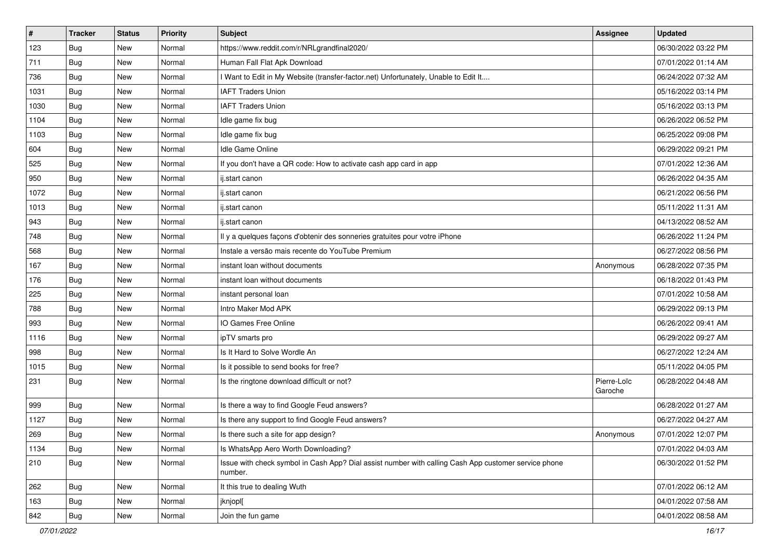| $\vert$ # | <b>Tracker</b> | <b>Status</b> | Priority | <b>Subject</b>                                                                                                  | <b>Assignee</b>        | <b>Updated</b>      |
|-----------|----------------|---------------|----------|-----------------------------------------------------------------------------------------------------------------|------------------------|---------------------|
| 123       | <b>Bug</b>     | New           | Normal   | https://www.reddit.com/r/NRLgrandfinal2020/                                                                     |                        | 06/30/2022 03:22 PM |
| 711       | Bug            | <b>New</b>    | Normal   | Human Fall Flat Apk Download                                                                                    |                        | 07/01/2022 01:14 AM |
| 736       | Bug            | New           | Normal   | I Want to Edit in My Website (transfer-factor.net) Unfortunately, Unable to Edit It                             |                        | 06/24/2022 07:32 AM |
| 1031      | <b>Bug</b>     | <b>New</b>    | Normal   | <b>IAFT Traders Union</b>                                                                                       |                        | 05/16/2022 03:14 PM |
| 1030      | Bug            | <b>New</b>    | Normal   | <b>IAFT Traders Union</b>                                                                                       |                        | 05/16/2022 03:13 PM |
| 1104      | Bug            | New           | Normal   | Idle game fix bug                                                                                               |                        | 06/26/2022 06:52 PM |
| 1103      | Bug            | <b>New</b>    | Normal   | Idle game fix bug                                                                                               |                        | 06/25/2022 09:08 PM |
| 604       | <b>Bug</b>     | New           | Normal   | Idle Game Online                                                                                                |                        | 06/29/2022 09:21 PM |
| 525       | Bug            | <b>New</b>    | Normal   | If you don't have a QR code: How to activate cash app card in app                                               |                        | 07/01/2022 12:36 AM |
| 950       | Bug            | <b>New</b>    | Normal   | ij.start canon                                                                                                  |                        | 06/26/2022 04:35 AM |
| 1072      | Bug            | New           | Normal   | ij.start canon                                                                                                  |                        | 06/21/2022 06:56 PM |
| 1013      | Bug            | New           | Normal   | ij.start canon                                                                                                  |                        | 05/11/2022 11:31 AM |
| 943       | Bug            | <b>New</b>    | Normal   | ij.start canon                                                                                                  |                        | 04/13/2022 08:52 AM |
| 748       | Bug            | <b>New</b>    | Normal   | Il y a quelques façons d'obtenir des sonneries gratuites pour votre iPhone                                      |                        | 06/26/2022 11:24 PM |
| 568       | Bug            | New           | Normal   | Instale a versão mais recente do YouTube Premium                                                                |                        | 06/27/2022 08:56 PM |
| 167       | <b>Bug</b>     | New           | Normal   | instant loan without documents                                                                                  | Anonymous              | 06/28/2022 07:35 PM |
| 176       | <b>Bug</b>     | <b>New</b>    | Normal   | instant loan without documents                                                                                  |                        | 06/18/2022 01:43 PM |
| 225       | Bug            | <b>New</b>    | Normal   | instant personal loan                                                                                           |                        | 07/01/2022 10:58 AM |
| 788       | <b>Bug</b>     | New           | Normal   | Intro Maker Mod APK                                                                                             |                        | 06/29/2022 09:13 PM |
| 993       | Bug            | <b>New</b>    | Normal   | IO Games Free Online                                                                                            |                        | 06/26/2022 09:41 AM |
| 1116      | <b>Bug</b>     | New           | Normal   | ipTV smarts pro                                                                                                 |                        | 06/29/2022 09:27 AM |
| 998       | Bug            | <b>New</b>    | Normal   | Is It Hard to Solve Wordle An                                                                                   |                        | 06/27/2022 12:24 AM |
| 1015      | Bug            | <b>New</b>    | Normal   | Is it possible to send books for free?                                                                          |                        | 05/11/2022 04:05 PM |
| 231       | Bug            | New           | Normal   | Is the ringtone download difficult or not?                                                                      | Pierre-Loïc<br>Garoche | 06/28/2022 04:48 AM |
| 999       | Bug            | New           | Normal   | Is there a way to find Google Feud answers?                                                                     |                        | 06/28/2022 01:27 AM |
| 1127      | <b>Bug</b>     | New           | Normal   | Is there any support to find Google Feud answers?                                                               |                        | 06/27/2022 04:27 AM |
| 269       | Bug            | New           | Normal   | Is there such a site for app design?                                                                            | Anonymous              | 07/01/2022 12:07 PM |
| 1134      | Bug            | New           | Normal   | Is WhatsApp Aero Worth Downloading?                                                                             |                        | 07/01/2022 04:03 AM |
| 210       | <b>Bug</b>     | New           | Normal   | Issue with check symbol in Cash App? Dial assist number with calling Cash App customer service phone<br>number. |                        | 06/30/2022 01:52 PM |
| 262       | Bug            | New           | Normal   | It this true to dealing Wuth                                                                                    |                        | 07/01/2022 06:12 AM |
| 163       | Bug            | New           | Normal   | jknjopl[                                                                                                        |                        | 04/01/2022 07:58 AM |
| 842       | <b>Bug</b>     | New           | Normal   | Join the fun game                                                                                               |                        | 04/01/2022 08:58 AM |